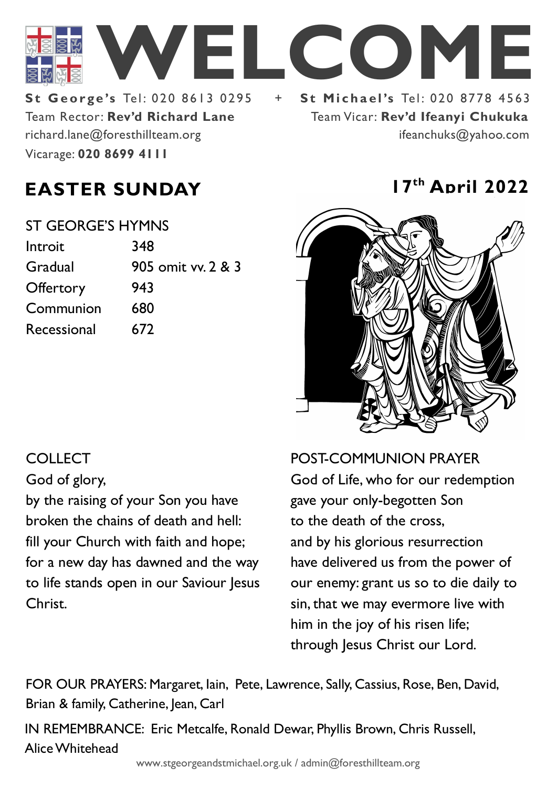

Team Rector: **Rev'd Richard Lane St George's Tel: 020 8613 0295** Vicarage: **020 8699 4111**  richard.lane@foresthillteam.org

Team Vicar: **Rev'd Ifeanyi Chukuka** ifeanchuks@yahoo.com

# **EASTER SUNDAY 17th April 2022**

| ST GEORGE'S HYMNS |                    |
|-------------------|--------------------|
| Introit           | 348                |
| Gradual           | 905 omit vv. 2 & 3 |
| Offertory         | 943                |
| Communion         | 680                |
| Recessional       | 672                |
|                   |                    |



POST-COMMUNION PRAYER God of Life, who for our redemption gave your only-begotten Son to the death of the cross, and by his glorious resurrection have delivered us from the power of our enemy: grant us so to die daily to sin, that we may evermore live with him in the joy of his risen life; through Jesus Christ our Lord.

FOR OUR PRAYERS: Margaret, Iain, Pete, Lawrence, Sally, Cassius, Rose, Ben, David, Brian & family, Catherine, Jean, Carl

IN REMEMBRANCE: Eric Metcalfe, Ronald Dewar, Phyllis Brown, Chris Russell, Alice Whitehead

# COLLECT

God of glory,

by the raising of your Son you have broken the chains of death and hell: fill your Church with faith and hope; for a new day has dawned and the way to life stands open in our Saviour Jesus Christ.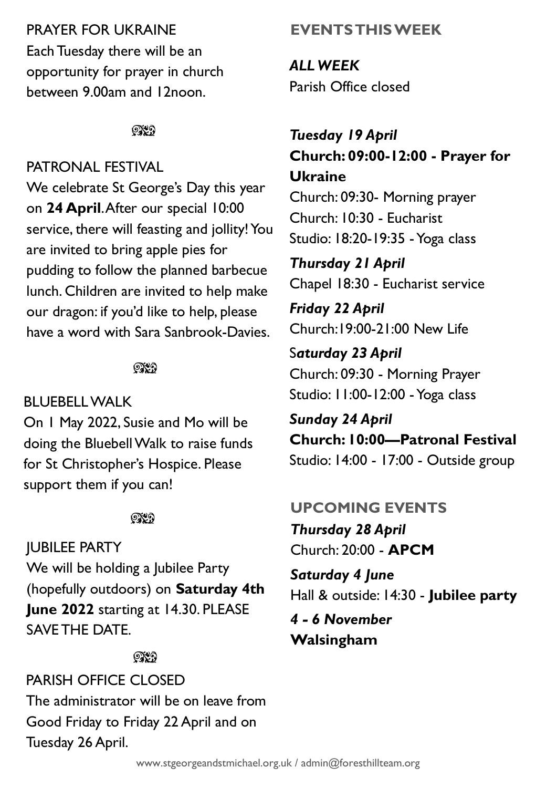## PRAYER FOR UKRAINE

Each Tuesday there will be an opportunity for prayer in church between 9.00am and 12noon.

೧೪೧

# PATRONAL FESTIVAL

We celebrate St George's Day this year on **24 April**. After our special 10:00 service, there will feasting and jollity! You are invited to bring apple pies for pudding to follow the planned barbecue lunch. Children are invited to help make our dragon: if you'd like to help, please have a word with Sara Sanbrook-Davies.

### ೧೪೧

## BLUEBELL WALK

On 1 May 2022, Susie and Mo will be doing the Bluebell Walk to raise funds for St Christopher's Hospice. Please support them if you can!

#### $@{\mathbf{X}}\,9$

JUBILEE PARTY We will be holding a Jubilee Party (hopefully outdoors) on **Saturday 4th June 2022** starting at 14.30. PLEASE SAVE THE DATE.

#### ೧೪೧

PARISH OFFICE CLOSED The administrator will be on leave from Good Friday to Friday 22 April and on Tuesday 26 April.

# **EVENTS THIS WEEK**

*ALL WEEK* Parish Office closed

# *Tuesday 19 April* **Church: 09:00-12:00 - Prayer for Ukraine**

Church: 09:30- Morning prayer Church: 10:30 - Eucharist Studio: 18:20-19:35 -Yoga class

*Thursday 21 April* Chapel 18:30 - Eucharist service

*Friday 22 April* Church:19:00-21:00 New Life

S*aturday 23 April* Church: 09:30 - Morning Prayer Studio: 11:00-12:00 -Yoga class

*Sunday 24 April* **Church: 10:00—Patronal Festival** Studio: 14:00 - 17:00 - Outside group

# **UPCOMING EVENTS**

*Thursday 28 April* Church: 20:00 - **APCM**

*Saturday 4 June* Hall & outside: 14:30 - **Jubilee party**

*4 - 6 November* **Walsingham**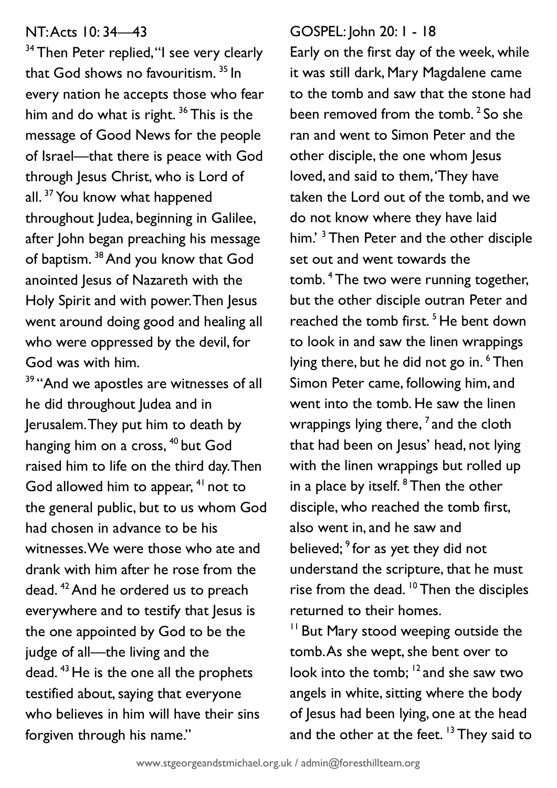#### NT: Acts 10: 34—43

<sup>34</sup> Then Peter replied, "I see very clearly that God shows no favouritism.<sup>35</sup> In every nation he accepts those who fear him and do what is right.<sup>36</sup> This is the message of Good News for the people of Israel—that there is peace with God through Jesus Christ, who is Lord of all.<sup>37</sup> You know what happened throughout Judea, beginning in Galilee, after John began preaching his message of baptism. <sup>38</sup> And you know that God anointed Jesus of Nazareth with the Holy Spirit and with power. Then Jesus went around doing good and healing all who were oppressed by the devil, for God was with him.

<sup>39</sup> "And we apostles are witnesses of all he did throughout Judea and in Jerusalem. They put him to death by hanging him on a cross, <sup>40</sup> but God raised him to life on the third day. Then God allowed him to appear, <sup>41</sup> not to the general public, but to us whom God had chosen in advance to be his witnesses. We were those who ate and drank with him after he rose from the dead. <sup>42</sup>And he ordered us to preach everywhere and to testify that lesus is the one appointed by God to be the judge of all—the living and the dead. <sup>43</sup> He is the one all the prophets testified about, saying that everyone who believes in him will have their sins forgiven through his name."

#### GOSPEL: John 20: 1 - 18

Early on the first day of the week, while it was still dark, Mary Magdalene came to the tomb and saw that the stone had been removed from the tomb.<sup>2</sup> So she ran and went to Simon Peter and the other disciple, the one whom Jesus loved, and said to them, 'They have taken the Lord out of the tomb, and we do not know where they have laid him.<sup>3</sup> Then Peter and the other disciple set out and went towards the tomb. <sup>4</sup> The two were running together, but the other disciple outran Peter and reached the tomb first.<sup>5</sup> He bent down to look in and saw the linen wrappings lying there, but he did not go in.<sup>6</sup> Then Simon Peter came, following him, and went into the tomb. He saw the linen wrappings lying there,  $^7$  and the cloth that had been on Jesus' head, not lying with the linen wrappings but rolled up in a place by itself.  $8$  Then the other disciple, who reached the tomb first, also went in, and he saw and believed;<sup>9</sup> for as yet they did not understand the scripture, that he must rise from the dead.  $10$  Then the disciples returned to their homes.

<sup>11</sup> But Mary stood weeping outside the tomb. As she wept, she bent over to look into the tomb; <sup>12</sup> and she saw two angels in white, sitting where the body of Jesus had been lying, one at the head and the other at the feet.<sup>13</sup> They said to